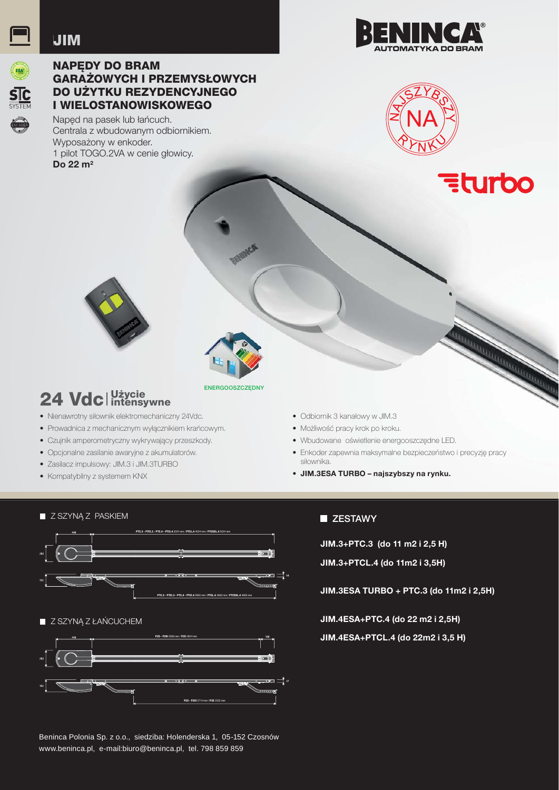### **JIM**



### **NAPEDY DO BRAM GARAZOWYCH I PRZEMYSŁOWYCH** DO UŻYTKU REZYDENCYJNEGO **I WIELOSTANOWISKOWEGO**

Naped na pasek lub łańcuch. Centrala z wbudowanym odbiornikiem. Wyposażony w enkoder. 1 pilot TOGO.2VA w cenie głowicy. Do 22 $m<sup>2</sup>$ 





**Eturbo** 



## 24 Vdc | Użycie

- Nienawrotny siłownik elektromechaniczny 24Vdc.
- · Prowadnica z mechanicznym wyłącznikiem krańcowym.
- Czujnik amperometryczny wykrywający przeszkody.
- · Opcjonalne zasilanie awaryjne z akumulatorów.
- · Zasilacz impulsowy: JIM.3 i JIM.3TURBO
- Kompatybilny z systemem KNX
- ENERGOOSZCZEDNY
- · Odbiornik 3 kanałowy w JIM.3
- · Możliwość pracy krok po kroku.
- · Wbudowane oświetlenie energooszczedne LED.
- · Enkoder zapewnia maksymalne bezpieczeństwo i precyzję pracy siłownika
- · JIM.3ESA TURBO najszybszy na rynku.



#### **ZESTAWY**

JIM.3+PTC.3 (do 11 m2 i 2,5 H)

JIM.3+PTCL.4 (do 11m2 i 3,5H)

JIM.3ESA TURBO + PTC.3 (do 11m2 i 2.5H)

JIM.4ESA+PTC.4 (do 22 m2 i 2,5H)

JIM.4ESA+PTCL.4 (do 22m2 i 3,5 H)

Beninca Polonia Sp. z o.o., siedziba: Holenderska 1, 05-152 Czosnów www.beninca.pl, e-mail:biuro@beninca.pl, tel. 798 859 859